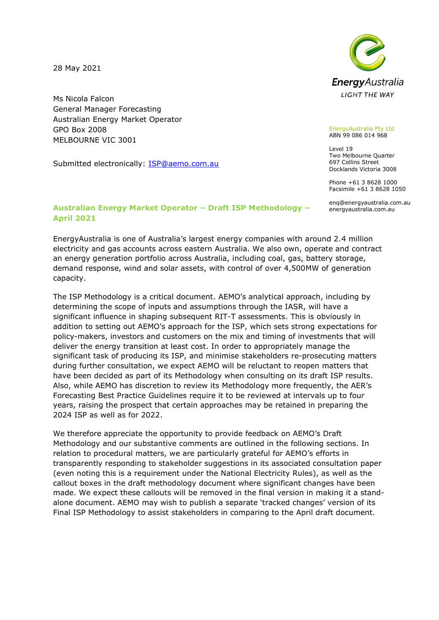28 May 2021

Ms Nicola Falcon General Manager Forecasting Australian Energy Market Operator GPO Box 2008 MELBOURNE VIC 3001

Submitted electronically: **ISP@aemo.com.au** 



EnergyAustralia Pty Ltd ABN 99 086 014 968

Level 19 Two Melbourne Quarter 697 Collins Street Docklands Victoria 3008

Phone +61 3 8628 1000 Facsimile +61 3 8628 1050

enq@energyaustralia.com.au energyaustralia.com.au

## **Australian Energy Market Operator – Draft ISP Methodology – April 2021**

EnergyAustralia is one of Australia's largest energy companies with around 2.4 million electricity and gas accounts across eastern Australia. We also own, operate and contract an energy generation portfolio across Australia, including coal, gas, battery storage, demand response, wind and solar assets, with control of over 4,500MW of generation capacity.

The ISP Methodology is a critical document. AEMO's analytical approach, including by determining the scope of inputs and assumptions through the IASR, will have a significant influence in shaping subsequent RIT-T assessments. This is obviously in addition to setting out AEMO's approach for the ISP, which sets strong expectations for policy-makers, investors and customers on the mix and timing of investments that will deliver the energy transition at least cost. In order to appropriately manage the significant task of producing its ISP, and minimise stakeholders re-prosecuting matters during further consultation, we expect AEMO will be reluctant to reopen matters that have been decided as part of its Methodology when consulting on its draft ISP results. Also, while AEMO has discretion to review its Methodology more frequently, the AER's Forecasting Best Practice Guidelines require it to be reviewed at intervals up to four years, raising the prospect that certain approaches may be retained in preparing the 2024 ISP as well as for 2022.

We therefore appreciate the opportunity to provide feedback on AEMO's Draft Methodology and our substantive comments are outlined in the following sections. In relation to procedural matters, we are particularly grateful for AEMO's efforts in transparently responding to stakeholder suggestions in its associated consultation paper (even noting this is a requirement under the National Electricity Rules), as well as the callout boxes in the draft methodology document where significant changes have been made. We expect these callouts will be removed in the final version in making it a standalone document. AEMO may wish to publish a separate 'tracked changes' version of its Final ISP Methodology to assist stakeholders in comparing to the April draft document.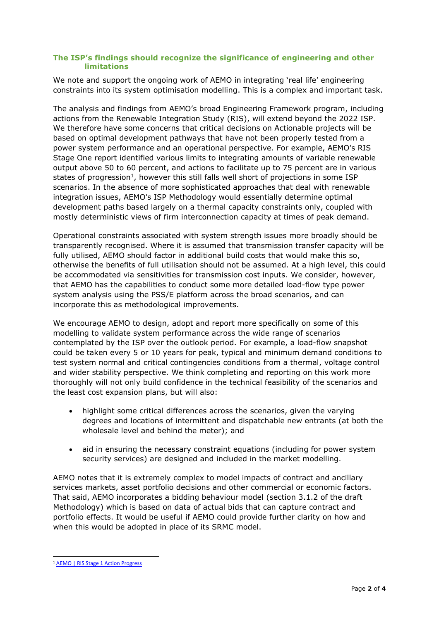# **The ISP's findings should recognize the significance of engineering and other limitations**

We note and support the ongoing work of AEMO in integrating 'real life' engineering constraints into its system optimisation modelling. This is a complex and important task.

The analysis and findings from AEMO's broad Engineering Framework program, including actions from the Renewable Integration Study (RIS), will extend beyond the 2022 ISP. We therefore have some concerns that critical decisions on Actionable projects will be based on optimal development pathways that have not been properly tested from a power system performance and an operational perspective. For example, AEMO's RIS Stage One report identified various limits to integrating amounts of variable renewable output above 50 to 60 percent, and actions to facilitate up to 75 percent are in various states of progression<sup>1</sup>, however this still falls well short of projections in some ISP scenarios. In the absence of more sophisticated approaches that deal with renewable integration issues, AEMO's ISP Methodology would essentially determine optimal development paths based largely on a thermal capacity constraints only, coupled with mostly deterministic views of firm interconnection capacity at times of peak demand.

Operational constraints associated with system strength issues more broadly should be transparently recognised. Where it is assumed that transmission transfer capacity will be fully utilised, AEMO should factor in additional build costs that would make this so, otherwise the benefits of full utilisation should not be assumed. At a high level, this could be accommodated via sensitivities for transmission cost inputs. We consider, however, that AEMO has the capabilities to conduct some more detailed load-flow type power system analysis using the PSS/E platform across the broad scenarios, and can incorporate this as methodological improvements.

We encourage AEMO to design, adopt and report more specifically on some of this modelling to validate system performance across the wide range of scenarios contemplated by the ISP over the outlook period. For example, a load-flow snapshot could be taken every 5 or 10 years for peak, typical and minimum demand conditions to test system normal and critical contingencies conditions from a thermal, voltage control and wider stability perspective. We think completing and reporting on this work more thoroughly will not only build confidence in the technical feasibility of the scenarios and the least cost expansion plans, but will also:

- highlight some critical differences across the scenarios, given the varying degrees and locations of intermittent and dispatchable new entrants (at both the wholesale level and behind the meter); and
- aid in ensuring the necessary constraint equations (including for power system security services) are designed and included in the market modelling.

AEMO notes that it is extremely complex to model impacts of contract and ancillary services markets, asset portfolio decisions and other commercial or economic factors. That said, AEMO incorporates a bidding behaviour model (section 3.1.2 of the draft Methodology) which is based on data of actual bids that can capture contract and portfolio effects. It would be useful if AEMO could provide further clarity on how and when this would be adopted in place of its SRMC model.

<sup>&</sup>lt;sup>1</sup> [AEMO | RIS Stage 1 Action Progress](https://aemo.com.au/en/energy-systems/major-publications/renewable-integration-study-ris/ris-stage-1-action-progress)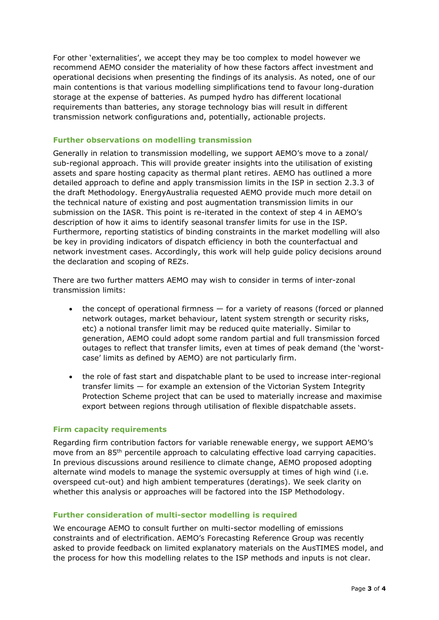For other 'externalities', we accept they may be too complex to model however we recommend AEMO consider the materiality of how these factors affect investment and operational decisions when presenting the findings of its analysis. As noted, one of our main contentions is that various modelling simplifications tend to favour long-duration storage at the expense of batteries. As pumped hydro has different locational requirements than batteries, any storage technology bias will result in different transmission network configurations and, potentially, actionable projects.

#### **Further observations on modelling transmission**

Generally in relation to transmission modelling, we support AEMO's move to a zonal/ sub-regional approach. This will provide greater insights into the utilisation of existing assets and spare hosting capacity as thermal plant retires. AEMO has outlined a more detailed approach to define and apply transmission limits in the ISP in section 2.3.3 of the draft Methodology. EnergyAustralia requested AEMO provide much more detail on the technical nature of existing and post augmentation transmission limits in our submission on the IASR. This point is re-iterated in the context of step 4 in AEMO's description of how it aims to identify seasonal transfer limits for use in the ISP. Furthermore, reporting statistics of binding constraints in the market modelling will also be key in providing indicators of dispatch efficiency in both the counterfactual and network investment cases. Accordingly, this work will help guide policy decisions around the declaration and scoping of REZs.

There are two further matters AEMO may wish to consider in terms of inter-zonal transmission limits:

- the concept of operational firmness  $-$  for a variety of reasons (forced or planned network outages, market behaviour, latent system strength or security risks, etc) a notional transfer limit may be reduced quite materially. Similar to generation, AEMO could adopt some random partial and full transmission forced outages to reflect that transfer limits, even at times of peak demand (the 'worstcase' limits as defined by AEMO) are not particularly firm.
- the role of fast start and dispatchable plant to be used to increase inter-regional transfer limits — for example an extension of the Victorian System Integrity Protection Scheme project that can be used to materially increase and maximise export between regions through utilisation of flexible dispatchable assets.

## **Firm capacity requirements**

Regarding firm contribution factors for variable renewable energy, we support AEMO's move from an 85<sup>th</sup> percentile approach to calculating effective load carrying capacities. In previous discussions around resilience to climate change, AEMO proposed adopting alternate wind models to manage the systemic oversupply at times of high wind (i.e. overspeed cut-out) and high ambient temperatures (deratings). We seek clarity on whether this analysis or approaches will be factored into the ISP Methodology.

## **Further consideration of multi-sector modelling is required**

We encourage AEMO to consult further on multi-sector modelling of emissions constraints and of electrification. AEMO's Forecasting Reference Group was recently asked to provide feedback on limited explanatory materials on the AusTIMES model, and the process for how this modelling relates to the ISP methods and inputs is not clear.